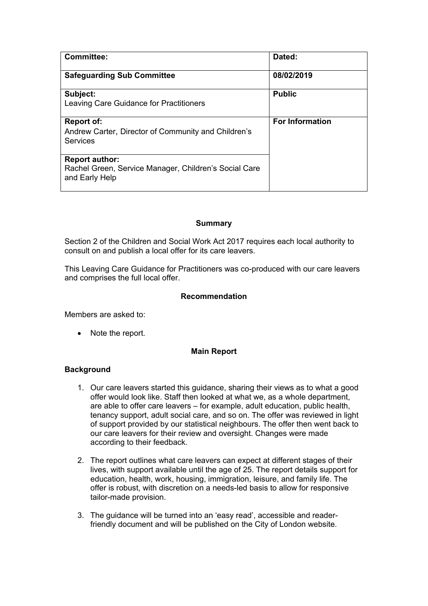| <b>Committee:</b>                                                                                | Dated:                 |
|--------------------------------------------------------------------------------------------------|------------------------|
| <b>Safeguarding Sub Committee</b>                                                                | 08/02/2019             |
| Subject:<br>Leaving Care Guidance for Practitioners                                              | <b>Public</b>          |
| <b>Report of:</b><br>Andrew Carter, Director of Community and Children's<br><b>Services</b>      | <b>For Information</b> |
| <b>Report author:</b><br>Rachel Green, Service Manager, Children's Social Care<br>and Early Help |                        |

#### **Summary**

Section 2 of the Children and Social Work Act 2017 requires each local authority to consult on and publish a local offer for its care leavers.

This Leaving Care Guidance for Practitioners was co-produced with our care leavers and comprises the full local offer.

#### **Recommendation**

Members are asked to:

• Note the report.

#### **Main Report**

#### **Background**

- 1. Our care leavers started this guidance, sharing their views as to what a good offer would look like. Staff then looked at what we, as a whole department, are able to offer care leavers – for example, adult education, public health, tenancy support, adult social care, and so on. The offer was reviewed in light of support provided by our statistical neighbours. The offer then went back to our care leavers for their review and oversight. Changes were made according to their feedback.
- 2. The report outlines what care leavers can expect at different stages of their lives, with support available until the age of 25. The report details support for education, health, work, housing, immigration, leisure, and family life. The offer is robust, with discretion on a needs-led basis to allow for responsive tailor-made provision.
- 3. The guidance will be turned into an 'easy read', accessible and readerfriendly document and will be published on the City of London website.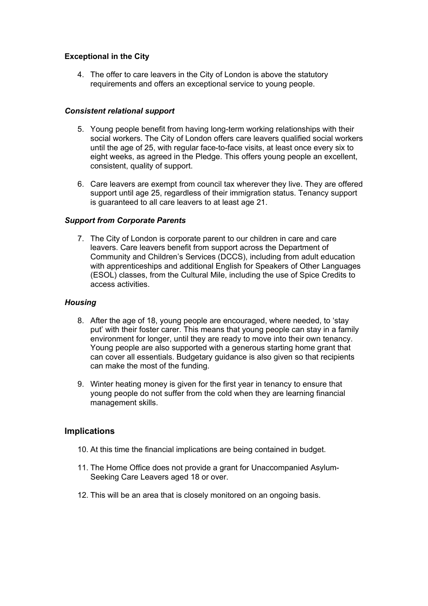#### **Exceptional in the City**

4. The offer to care leavers in the City of London is above the statutory requirements and offers an exceptional service to young people.

#### *Consistent relational support*

- 5. Young people benefit from having long-term working relationships with their social workers. The City of London offers care leavers qualified social workers until the age of 25, with regular face-to-face visits, at least once every six to eight weeks, as agreed in the Pledge. This offers young people an excellent, consistent, quality of support.
- 6. Care leavers are exempt from council tax wherever they live. They are offered support until age 25, regardless of their immigration status. Tenancy support is guaranteed to all care leavers to at least age 21.

#### *Support from Corporate Parents*

7. The City of London is corporate parent to our children in care and care leavers. Care leavers benefit from support across the Department of Community and Children's Services (DCCS), including from adult education with apprenticeships and additional English for Speakers of Other Languages (ESOL) classes, from the Cultural Mile, including the use of Spice Credits to access activities.

#### *Housing*

- 8. After the age of 18, young people are encouraged, where needed, to 'stay put' with their foster carer. This means that young people can stay in a family environment for longer, until they are ready to move into their own tenancy. Young people are also supported with a generous starting home grant that can cover all essentials. Budgetary guidance is also given so that recipients can make the most of the funding.
- 9. Winter heating money is given for the first year in tenancy to ensure that young people do not suffer from the cold when they are learning financial management skills.

#### **Implications**

- 10. At this time the financial implications are being contained in budget.
- 11. The Home Office does not provide a grant for Unaccompanied Asylum-Seeking Care Leavers aged 18 or over.
- 12. This will be an area that is closely monitored on an ongoing basis.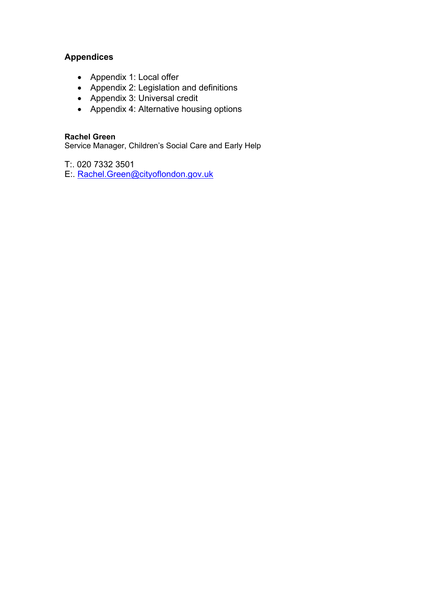### **Appendices**

- Appendix 1: Local offer
- Appendix 2: Legislation and definitions
- Appendix 3: Universal credit
- Appendix 4: Alternative housing options

#### **Rachel Green**

Service Manager, Children's Social Care and Early Help

T:. 020 7332 3501

E:. [Rachel.Green@cityoflondon.gov.uk](mailto:Rachel.Green@cityoflondon.gov.uk)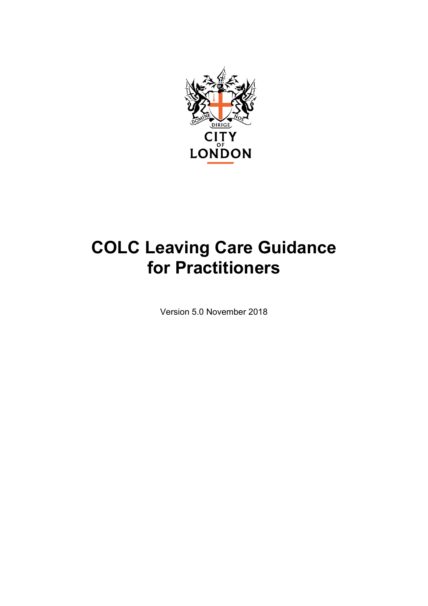

# **COLC Leaving Care Guidance for Practitioners**

Version 5.0 November 2018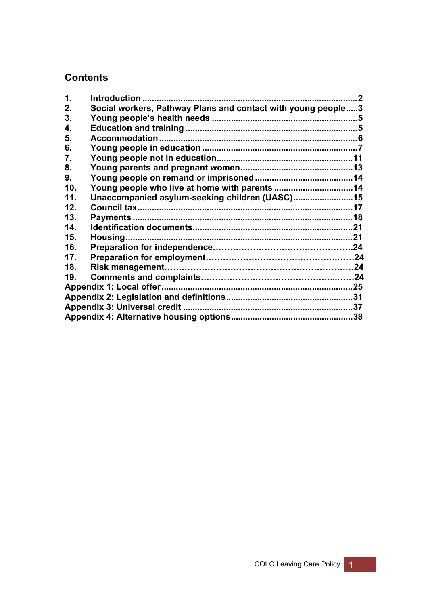## **Contents**

| $\mathbf 1$     |                                                              | . 2 |
|-----------------|--------------------------------------------------------------|-----|
| 2.              | Social workers, Pathway Plans and contact with young people3 |     |
| 3.              |                                                              |     |
| 4.              |                                                              |     |
| 5.              |                                                              |     |
| 6.              |                                                              |     |
| 7.              |                                                              |     |
| 8.              |                                                              |     |
| 9.              |                                                              |     |
| 10 <sub>1</sub> | Young people who live at home with parents 14                |     |
| 11.             | Unaccompanied asylum-seeking children (UASC)15               |     |
| 12.             |                                                              |     |
| 13.             |                                                              |     |
| 14.             |                                                              |     |
| 15.             |                                                              |     |
| 16.             |                                                              |     |
| 17.             |                                                              |     |
| 18.             |                                                              |     |
| 19.             |                                                              |     |
|                 |                                                              |     |
|                 |                                                              |     |
|                 |                                                              |     |
|                 |                                                              |     |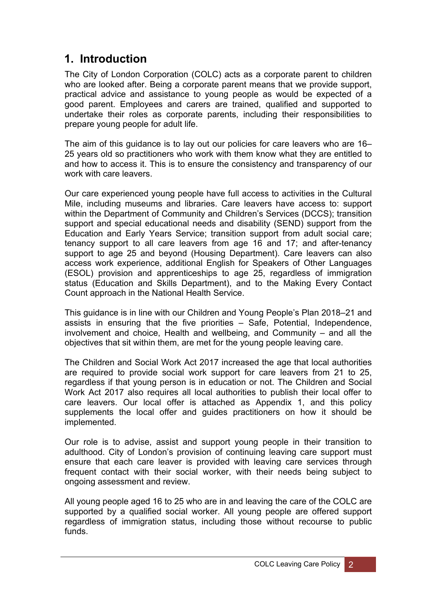## <span id="page-5-0"></span>**1. Introduction**

The City of London Corporation (COLC) acts as a corporate parent to children who are looked after. Being a corporate parent means that we provide support, practical advice and assistance to young people as would be expected of a good parent. Employees and carers are trained, qualified and supported to undertake their roles as corporate parents, including their responsibilities to prepare young people for adult life.

The aim of this guidance is to lay out our policies for care leavers who are 16– 25 years old so practitioners who work with them know what they are entitled to and how to access it. This is to ensure the consistency and transparency of our work with care leavers.

Our care experienced young people have full access to activities in the Cultural Mile, including museums and libraries. Care leavers have access to: support within the Department of Community and Children's Services (DCCS); transition support and special educational needs and disability (SEND) support from the Education and Early Years Service; transition support from adult social care; tenancy support to all care leavers from age 16 and 17; and after-tenancy support to age 25 and beyond (Housing Department). Care leavers can also access work experience, additional English for Speakers of Other Languages (ESOL) provision and apprenticeships to age 25, regardless of immigration status (Education and Skills Department), and to the Making Every Contact Count approach in the National Health Service.

This guidance is in line with our Children and Young People's Plan 2018–21 and assists in ensuring that the five priorities – Safe, Potential, Independence, involvement and choice, Health and wellbeing, and Community – and all the objectives that sit within them, are met for the young people leaving care.

The Children and Social Work Act 2017 increased the age that local authorities are required to provide social work support for care leavers from 21 to 25, regardless if that young person is in education or not. The Children and Social Work Act 2017 also requires all local authorities to publish their local offer to care leavers. Our local offer is attached as Appendix 1, and this policy supplements the local offer and guides practitioners on how it should be implemented.

Our role is to advise, assist and support young people in their transition to adulthood. City of London's provision of continuing leaving care support must ensure that each care leaver is provided with leaving care services through frequent contact with their social worker, with their needs being subject to ongoing assessment and review.

All young people aged 16 to 25 who are in and leaving the care of the COLC are supported by a qualified social worker. All young people are offered support regardless of immigration status, including those without recourse to public funds.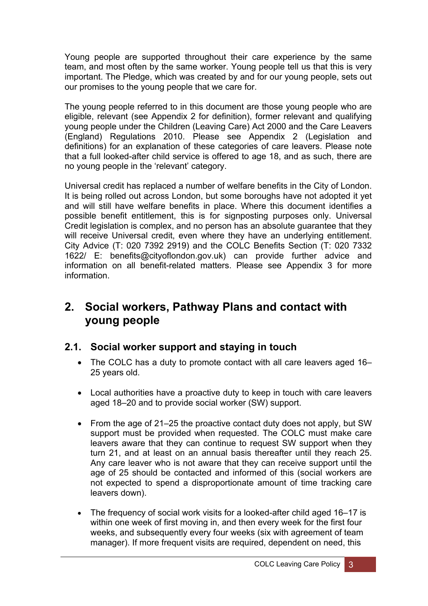Young people are supported throughout their care experience by the same team, and most often by the same worker. Young people tell us that this is very important. The Pledge, which was created by and for our young people, sets out our promises to the young people that we care for.

The young people referred to in this document are those young people who are eligible, relevant (see Appendix 2 for definition), former relevant and qualifying young people under the Children (Leaving Care) Act 2000 and the Care Leavers (England) Regulations 2010. Please see Appendix 2 (Legislation and definitions) for an explanation of these categories of care leavers. Please note that a full looked-after child service is offered to age 18, and as such, there are no young people in the 'relevant' category.

Universal credit has replaced a number of welfare benefits in the City of London. It is being rolled out across London, but some boroughs have not adopted it yet and will still have welfare benefits in place. Where this document identifies a possible benefit entitlement, this is for signposting purposes only. Universal Credit legislation is complex, and no person has an absolute guarantee that they will receive Universal credit, even where they have an underlying entitlement. City Advice (T: 020 7392 2919) and the COLC Benefits Section (T: 020 7332 1622/ E: benefits@cityoflondon.gov.uk) can provide further advice and information on all benefit-related matters. Please see Appendix 3 for more information.

## <span id="page-6-0"></span>**2. Social workers, Pathway Plans and contact with young people**

### **2.1. Social worker support and staying in touch**

- The COLC has a duty to promote contact with all care leavers aged 16– 25 years old.
- Local authorities have a proactive duty to keep in touch with care leavers aged 18–20 and to provide social worker (SW) support.
- From the age of 21–25 the proactive contact duty does not apply, but SW support must be provided when requested. The COLC must make care leavers aware that they can continue to request SW support when they turn 21, and at least on an annual basis thereafter until they reach 25. Any care leaver who is not aware that they can receive support until the age of 25 should be contacted and informed of this (social workers are not expected to spend a disproportionate amount of time tracking care leavers down).
- The frequency of social work visits for a looked-after child aged 16–17 is within one week of first moving in, and then every week for the first four weeks, and subsequently every four weeks (six with agreement of team manager). If more frequent visits are required, dependent on need, this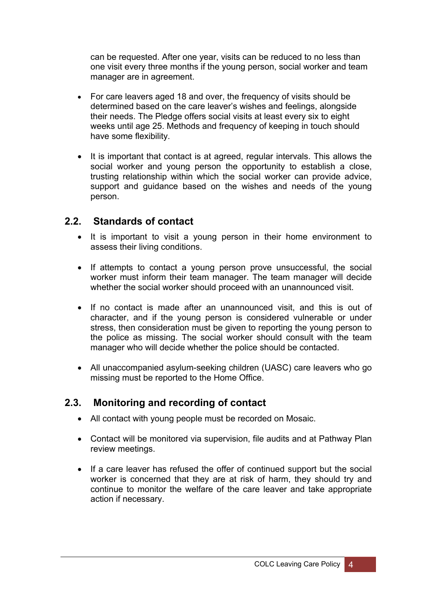can be requested. After one year, visits can be reduced to no less than one visit every three months if the young person, social worker and team manager are in agreement.

- For care leavers aged 18 and over, the frequency of visits should be determined based on the care leaver's wishes and feelings, alongside their needs. The Pledge offers social visits at least every six to eight weeks until age 25. Methods and frequency of keeping in touch should have some flexibility.
- It is important that contact is at agreed, regular intervals. This allows the social worker and young person the opportunity to establish a close, trusting relationship within which the social worker can provide advice, support and guidance based on the wishes and needs of the young person.

### **2.2. Standards of contact**

- It is important to visit a young person in their home environment to assess their living conditions.
- If attempts to contact a young person prove unsuccessful, the social worker must inform their team manager. The team manager will decide whether the social worker should proceed with an unannounced visit.
- If no contact is made after an unannounced visit, and this is out of character, and if the young person is considered vulnerable or under stress, then consideration must be given to reporting the young person to the police as missing. The social worker should consult with the team manager who will decide whether the police should be contacted.
- All unaccompanied asylum-seeking children (UASC) care leavers who go missing must be reported to the Home Office.

### **2.3. Monitoring and recording of contact**

- All contact with young people must be recorded on Mosaic.
- Contact will be monitored via supervision, file audits and at Pathway Plan review meetings.
- If a care leaver has refused the offer of continued support but the social worker is concerned that they are at risk of harm, they should try and continue to monitor the welfare of the care leaver and take appropriate action if necessary.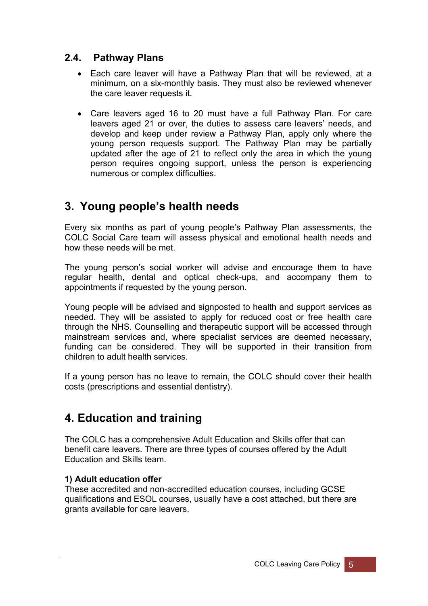### **2.4. Pathway Plans**

- Each care leaver will have a Pathway Plan that will be reviewed, at a minimum, on a six-monthly basis. They must also be reviewed whenever the care leaver requests it.
- Care leavers aged 16 to 20 must have a full Pathway Plan. For care leavers aged 21 or over, the duties to assess care leavers' needs, and develop and keep under review a Pathway Plan, apply only where the young person requests support. The Pathway Plan may be partially updated after the age of 21 to reflect only the area in which the young person requires ongoing support, unless the person is experiencing numerous or complex difficulties.

## <span id="page-8-0"></span>**3. Young people's health needs**

Every six months as part of young people's Pathway Plan assessments, the COLC Social Care team will assess physical and emotional health needs and how these needs will be met.

The young person's social worker will advise and encourage them to have regular health, dental and optical check-ups, and accompany them to appointments if requested by the young person.

Young people will be advised and signposted to health and support services as needed. They will be assisted to apply for reduced cost or free health care through the NHS. Counselling and therapeutic support will be accessed through mainstream services and, where specialist services are deemed necessary, funding can be considered. They will be supported in their transition from children to adult health services.

If a young person has no leave to remain, the COLC should cover their health costs (prescriptions and essential dentistry).

## <span id="page-8-1"></span>**4. Education and training**

The COLC has a comprehensive Adult Education and Skills offer that can benefit care leavers. There are three types of courses offered by the Adult Education and Skills team.

#### **1) Adult education offer**

These accredited and non-accredited education courses, including GCSE qualifications and ESOL courses, usually have a cost attached, but there are grants available for care leavers.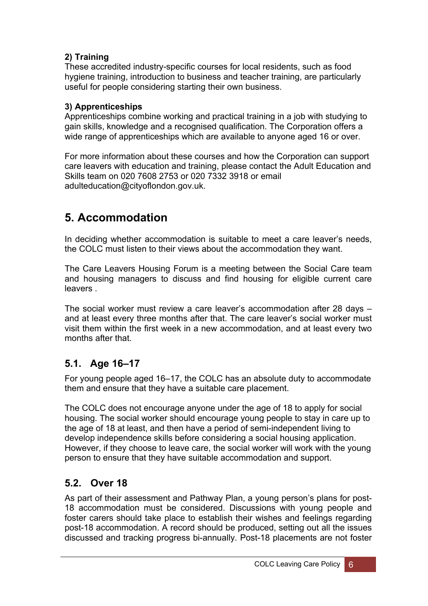### **2) Training**

These accredited industry-specific courses for local residents, such as food hygiene training, introduction to business and teacher training, are particularly useful for people considering starting their own business.

### **3) Apprenticeships**

Apprenticeships combine working and practical training in a job with studying to gain skills, knowledge and a recognised qualification. The Corporation offers a wide range of apprenticeships which are available to anyone aged 16 or over.

For more information about these courses and how the Corporation can support care leavers with education and training, please contact the Adult Education and Skills team on 020 7608 2753 or 020 7332 3918 or email adulteducation@cityoflondon.gov.uk.

## <span id="page-9-0"></span>**5. Accommodation**

In deciding whether accommodation is suitable to meet a care leaver's needs, the COLC must listen to their views about the accommodation they want.

The Care Leavers Housing Forum is a meeting between the Social Care team and housing managers to discuss and find housing for eligible current care leavers .

The social worker must review a care leaver's accommodation after 28 days – and at least every three months after that. The care leaver's social worker must visit them within the first week in a new accommodation, and at least every two months after that.

## **5.1. Age 16–17**

For young people aged 16–17, the COLC has an absolute duty to accommodate them and ensure that they have a suitable care placement.

The COLC does not encourage anyone under the age of 18 to apply for social housing. The social worker should encourage young people to stay in care up to the age of 18 at least, and then have a period of semi-independent living to develop independence skills before considering a social housing application. However, if they choose to leave care, the social worker will work with the young person to ensure that they have suitable accommodation and support.

## **5.2. Over 18**

As part of their assessment and Pathway Plan, a young person's plans for post-18 accommodation must be considered. Discussions with young people and foster carers should take place to establish their wishes and feelings regarding post-18 accommodation. A record should be produced, setting out all the issues discussed and tracking progress bi-annually. Post-18 placements are not foster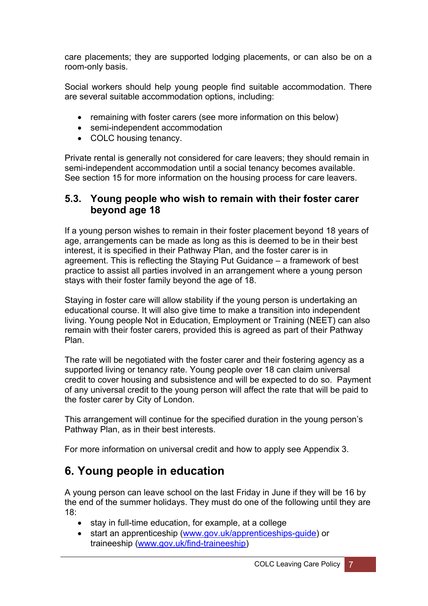care placements; they are supported lodging placements, or can also be on a room-only basis.

Social workers should help young people find suitable accommodation. There are several suitable accommodation options, including:

- remaining with foster carers (see more information on this below)
- semi-independent accommodation
- COLC housing tenancy.

Private rental is generally not considered for care leavers; they should remain in semi-independent accommodation until a social tenancy becomes available. See section 15 for more information on the housing process for care leavers.

### **5.3. Young people who wish to remain with their foster carer beyond age 18**

If a young person wishes to remain in their foster placement beyond 18 years of age, arrangements can be made as long as this is deemed to be in their best interest, it is specified in their Pathway Plan, and the foster carer is in agreement. This is reflecting the Staying Put Guidance – a framework of best practice to assist all parties involved in an arrangement where a young person stays with their foster family beyond the age of 18.

Staying in foster care will allow stability if the young person is undertaking an educational course. It will also give time to make a transition into independent living. Young people Not in Education, Employment or Training (NEET) can also remain with their foster carers, provided this is agreed as part of their Pathway Plan.

The rate will be negotiated with the foster carer and their fostering agency as a supported living or tenancy rate. Young people over 18 can claim universal credit to cover housing and subsistence and will be expected to do so. Payment of any universal credit to the young person will affect the rate that will be paid to the foster carer by City of London.

This arrangement will continue for the specified duration in the young person's Pathway Plan, as in their best interests.

For more information on universal credit and how to apply see Appendix 3.

## <span id="page-10-0"></span>**6. Young people in education**

A young person can leave school on the last Friday in June if they will be 16 by the end of the summer holidays. They must do one of the following until they are 18:

- stay in full-time education, for example, at a college
- start an apprenticeship ([www.gov.uk/apprenticeships-guide](http://www.gov.uk/apprenticeships-guide)) or traineeship [\(www.gov.uk/find-traineeship](http://www.gov.uk/find-traineeship))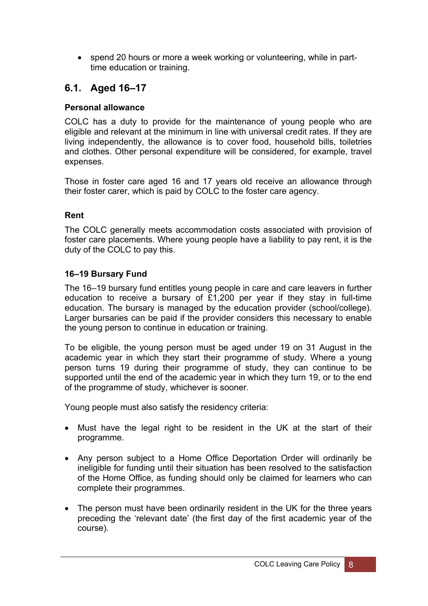• spend 20 hours or more a week working or volunteering, while in parttime education or training.

## **6.1. Aged 16–17**

#### **Personal allowance**

COLC has a duty to provide for the maintenance of young people who are eligible and relevant at the minimum in line with universal credit rates. If they are living independently, the allowance is to cover food, household bills, toiletries and clothes. Other personal expenditure will be considered, for example, travel expenses.

Those in foster care aged 16 and 17 years old receive an allowance through their foster carer, which is paid by COLC to the foster care agency.

#### **Rent**

The COLC generally meets accommodation costs associated with provision of foster care placements. Where young people have a liability to pay rent, it is the duty of the COLC to pay this.

#### **16–19 Bursary Fund**

The 16–19 bursary fund entitles young people in care and care leavers in further education to receive a bursary of £1,200 per year if they stay in full-time education. The bursary is managed by the education provider (school/college). Larger bursaries can be paid if the provider considers this necessary to enable the young person to continue in education or training.

To be eligible, the young person must be aged under 19 on 31 August in the academic year in which they start their programme of study. Where a young person turns 19 during their programme of study, they can continue to be supported until the end of the academic year in which they turn 19, or to the end of the programme of study, whichever is sooner.

Young people must also satisfy the residency criteria:

- Must have the legal right to be resident in the UK at the start of their programme.
- Any person subject to a Home Office Deportation Order will ordinarily be ineligible for funding until their situation has been resolved to the satisfaction of the Home Office, as funding should only be claimed for learners who can complete their programmes.
- The person must have been ordinarily resident in the UK for the three years preceding the 'relevant date' (the first day of the first academic year of the course).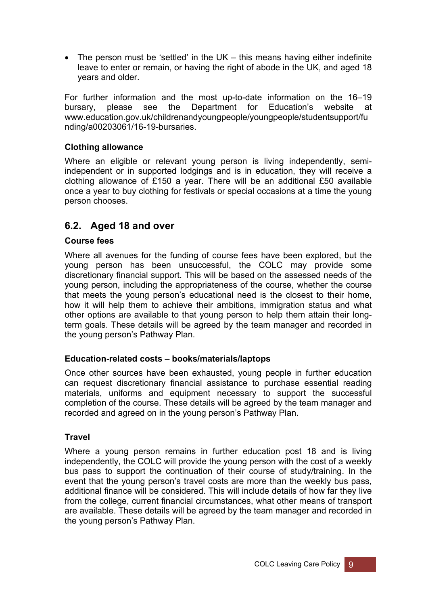• The person must be 'settled' in the UK – this means having either indefinite leave to enter or remain, or having the right of abode in the UK, and aged 18 years and older.

For further information and the most up-to-date information on the 16–19 bursary, please see the Department for Education's website at www.education.gov.uk/childrenandyoungpeople/youngpeople/studentsupport/fu nding/a00203061/16-19-bursaries.

#### **Clothing allowance**

Where an eligible or relevant young person is living independently, semiindependent or in supported lodgings and is in education, they will receive a clothing allowance of £150 a year. There will be an additional £50 available once a year to buy clothing for festivals or special occasions at a time the young person chooses.

### **6.2. Aged 18 and over**

#### **Course fees**

Where all avenues for the funding of course fees have been explored, but the young person has been unsuccessful, the COLC may provide some discretionary financial support. This will be based on the assessed needs of the young person, including the appropriateness of the course, whether the course that meets the young person's educational need is the closest to their home, how it will help them to achieve their ambitions, immigration status and what other options are available to that young person to help them attain their longterm goals. These details will be agreed by the team manager and recorded in the young person's Pathway Plan.

#### **Education-related costs – books/materials/laptops**

Once other sources have been exhausted, young people in further education can request discretionary financial assistance to purchase essential reading materials, uniforms and equipment necessary to support the successful completion of the course. These details will be agreed by the team manager and recorded and agreed on in the young person's Pathway Plan.

#### **Travel**

Where a young person remains in further education post 18 and is living independently, the COLC will provide the young person with the cost of a weekly bus pass to support the continuation of their course of study/training. In the event that the young person's travel costs are more than the weekly bus pass, additional finance will be considered. This will include details of how far they live from the college, current financial circumstances, what other means of transport are available. These details will be agreed by the team manager and recorded in the young person's Pathway Plan.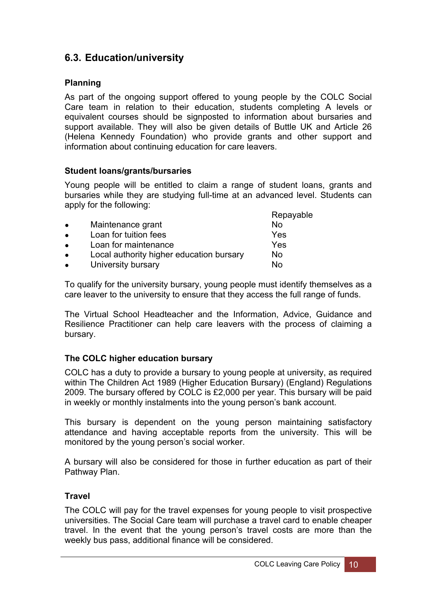## **6.3. Education/university**

#### **Planning**

As part of the ongoing support offered to young people by the COLC Social Care team in relation to their education, students completing A levels or equivalent courses should be signposted to information about bursaries and support available. They will also be given details of Buttle UK and Article 26 (Helena Kennedy Foundation) who provide grants and other support and information about continuing education for care leavers.

#### **Student loans/grants/bursaries**

Young people will be entitled to claim a range of student loans, grants and bursaries while they are studying full-time at an advanced level. Students can apply for the following: Repayable

|           |                                          | Repayable |
|-----------|------------------------------------------|-----------|
| $\bullet$ | Maintenance grant                        | No        |
| $\bullet$ | Loan for tuition fees                    | Yes       |
| $\bullet$ | Loan for maintenance                     | Yes       |
| $\bullet$ | Local authority higher education bursary | No        |
| $\bullet$ | University bursary                       | No        |
|           |                                          |           |

To qualify for the university bursary, young people must identify themselves as a care leaver to the university to ensure that they access the full range of funds.

The Virtual School Headteacher and the Information, Advice, Guidance and Resilience Practitioner can help care leavers with the process of claiming a bursary.

#### **The COLC higher education bursary**

COLC has a duty to provide a bursary to young people at university, as required within The Children Act 1989 (Higher Education Bursary) (England) Regulations 2009. The bursary offered by COLC is £2,000 per year. This bursary will be paid in weekly or monthly instalments into the young person's bank account.

This bursary is dependent on the young person maintaining satisfactory attendance and having acceptable reports from the university. This will be monitored by the young person's social worker.

A bursary will also be considered for those in further education as part of their Pathway Plan.

#### **Travel**

The COLC will pay for the travel expenses for young people to visit prospective universities. The Social Care team will purchase a travel card to enable cheaper travel. In the event that the young person's travel costs are more than the weekly bus pass, additional finance will be considered.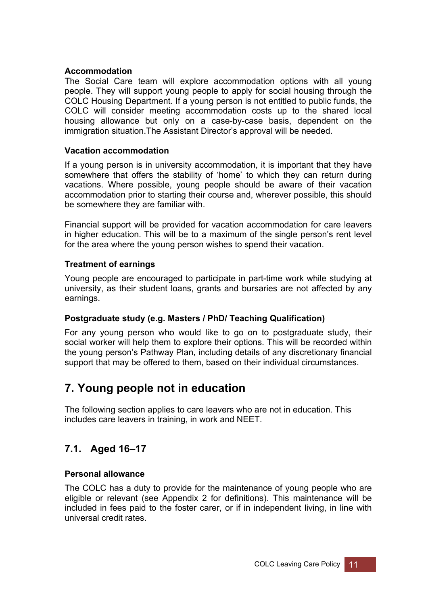#### **Accommodation**

The Social Care team will explore accommodation options with all young people. They will support young people to apply for social housing through the COLC Housing Department. If a young person is not entitled to public funds, the COLC will consider meeting accommodation costs up to the shared local housing allowance but only on a case-by-case basis, dependent on the immigration situation.The Assistant Director's approval will be needed.

#### **Vacation accommodation**

If a young person is in university accommodation, it is important that they have somewhere that offers the stability of 'home' to which they can return during vacations. Where possible, young people should be aware of their vacation accommodation prior to starting their course and, wherever possible, this should be somewhere they are familiar with.

Financial support will be provided for vacation accommodation for care leavers in higher education. This will be to a maximum of the single person's rent level for the area where the young person wishes to spend their vacation.

#### **Treatment of earnings**

Young people are encouraged to participate in part-time work while studying at university, as their student loans, grants and bursaries are not affected by any earnings.

#### **Postgraduate study (e.g. Masters / PhD/ Teaching Qualification)**

For any young person who would like to go on to postgraduate study, their social worker will help them to explore their options. This will be recorded within the young person's Pathway Plan, including details of any discretionary financial support that may be offered to them, based on their individual circumstances.

## <span id="page-14-0"></span>**7. Young people not in education**

The following section applies to care leavers who are not in education. This includes care leavers in training, in work and NEET.

## **7.1. Aged 16–17**

#### **Personal allowance**

The COLC has a duty to provide for the maintenance of young people who are eligible or relevant (see Appendix 2 for definitions). This maintenance will be included in fees paid to the foster carer, or if in independent living, in line with universal credit rates.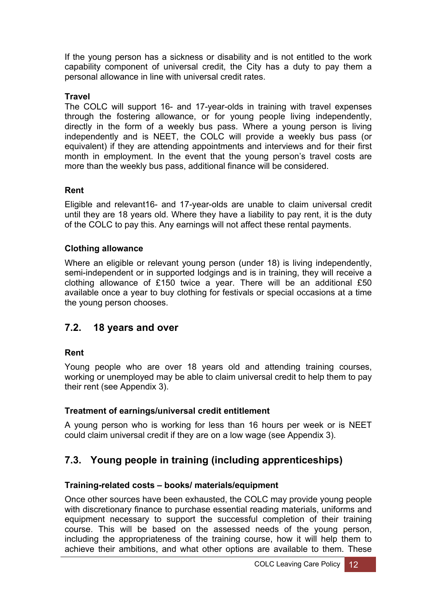If the young person has a sickness or disability and is not entitled to the work capability component of universal credit, the City has a duty to pay them a personal allowance in line with universal credit rates.

#### **Travel**

The COLC will support 16- and 17-year-olds in training with travel expenses through the fostering allowance, or for young people living independently, directly in the form of a weekly bus pass. Where a young person is living independently and is NEET, the COLC will provide a weekly bus pass (or equivalent) if they are attending appointments and interviews and for their first month in employment. In the event that the young person's travel costs are more than the weekly bus pass, additional finance will be considered.

#### **Rent**

Eligible and relevant16- and 17-year-olds are unable to claim universal credit until they are 18 years old. Where they have a liability to pay rent, it is the duty of the COLC to pay this. Any earnings will not affect these rental payments.

#### **Clothing allowance**

Where an eligible or relevant young person (under 18) is living independently, semi-independent or in supported lodgings and is in training, they will receive a clothing allowance of £150 twice a year. There will be an additional £50 available once a year to buy clothing for festivals or special occasions at a time the young person chooses.

### **7.2. 18 years and over**

#### **Rent**

Young people who are over 18 years old and attending training courses, working or unemployed may be able to claim universal credit to help them to pay their rent (see Appendix 3).

#### **Treatment of earnings/universal credit entitlement**

A young person who is working for less than 16 hours per week or is NEET could claim universal credit if they are on a low wage (see Appendix 3).

## **7.3. Young people in training (including apprenticeships)**

#### **Training-related costs – books/ materials/equipment**

Once other sources have been exhausted, the COLC may provide young people with discretionary finance to purchase essential reading materials, uniforms and equipment necessary to support the successful completion of their training course. This will be based on the assessed needs of the young person, including the appropriateness of the training course, how it will help them to achieve their ambitions, and what other options are available to them. These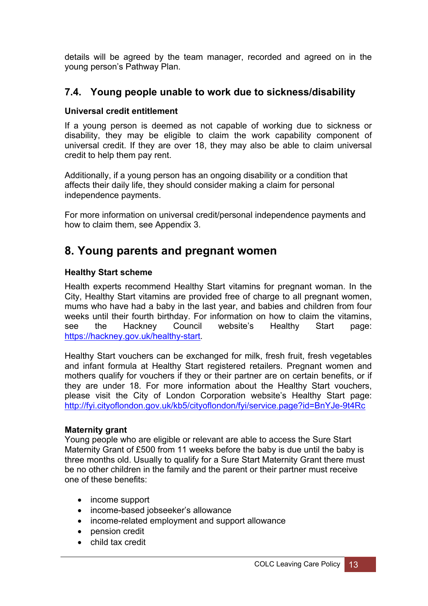details will be agreed by the team manager, recorded and agreed on in the young person's Pathway Plan.

### **7.4. Young people unable to work due to sickness/disability**

#### **Universal credit entitlement**

If a young person is deemed as not capable of working due to sickness or disability, they may be eligible to claim the work capability component of universal credit. If they are over 18, they may also be able to claim universal credit to help them pay rent.

Additionally, if a young person has an ongoing disability or a condition that affects their daily life, they should consider making a claim for personal independence payments.

For more information on universal credit/personal independence payments and how to claim them, see Appendix 3.

## <span id="page-16-0"></span>**8. Young parents and pregnant women**

#### **Healthy Start scheme**

Health experts recommend Healthy Start vitamins for pregnant woman. In the City, Healthy Start vitamins are provided free of charge to all pregnant women, mums who have had a baby in the last year, and babies and children from four weeks until their fourth birthday. For information on how to claim the vitamins, see the Hackney Council website's Healthy Start page: [https://hackney.gov.uk/healthy-start.](https://hackney.gov.uk/healthy-start)

Healthy Start vouchers can be exchanged for milk, fresh fruit, fresh vegetables and infant formula at Healthy Start registered retailers. Pregnant women and mothers qualify for vouchers if they or their partner are on certain benefits, or if they are under 18. For more information about the Healthy Start vouchers, please visit the City of London Corporation website's Healthy Start page: <http://fyi.cityoflondon.gov.uk/kb5/cityoflondon/fyi/service.page?id=BnYJe-9t4Rc>

#### **Maternity grant**

Young people who are eligible or relevant are able to access the Sure Start Maternity Grant of £500 from 11 weeks before the baby is due until the baby is three months old. Usually to qualify for a Sure Start Maternity Grant there must be no other children in the family and the parent or their partner must receive one of these benefits:

- income support
- income-based jobseeker's allowance
- income-related employment and support allowance
- pension credit
- child tax credit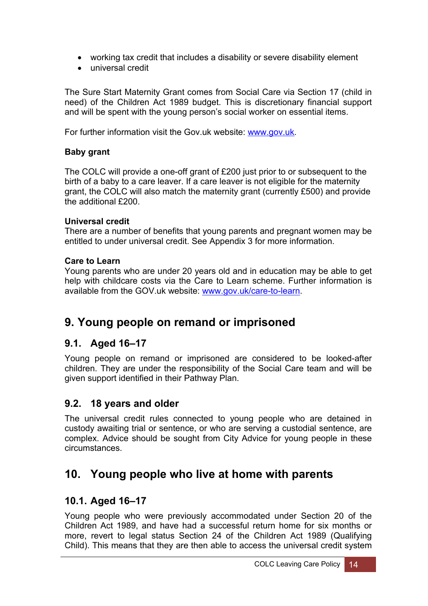- working tax credit that includes a disability or severe disability element
- universal credit

The Sure Start Maternity Grant comes from Social Care via Section 17 (child in need) of the Children Act 1989 budget. This is discretionary financial support and will be spent with the young person's social worker on essential items.

For further information visit the Gov.uk website: [www.gov.uk](http://www.gov.uk/).

#### **Baby grant**

The COLC will provide a one-off grant of £200 just prior to or subsequent to the birth of a baby to a care leaver. If a care leaver is not eligible for the maternity grant, the COLC will also match the maternity grant (currently £500) and provide the additional £200.

#### **Universal credit**

There are a number of benefits that young parents and pregnant women may be entitled to under universal credit. See Appendix 3 for more information.

#### **Care to Learn**

Young parents who are under 20 years old and in education may be able to get help with childcare costs via the Care to Learn scheme. Further information is available from the GOV.uk website: [www.gov.uk/care-to-learn](http://www.gov.uk/care-to-learn).

## <span id="page-17-0"></span>**9. Young people on remand or imprisoned**

## **9.1. Aged 16–17**

Young people on remand or imprisoned are considered to be looked-after children. They are under the responsibility of the Social Care team and will be given support identified in their Pathway Plan.

## **9.2. 18 years and older**

The universal credit rules connected to young people who are detained in custody awaiting trial or sentence, or who are serving a custodial sentence, are complex. Advice should be sought from City Advice for young people in these circumstances.

## <span id="page-17-1"></span>**10. Young people who live at home with parents**

## **10.1. Aged 16–17**

Young people who were previously accommodated under Section 20 of the Children Act 1989, and have had a successful return home for six months or more, revert to legal status Section 24 of the Children Act 1989 (Qualifying Child). This means that they are then able to access the universal credit system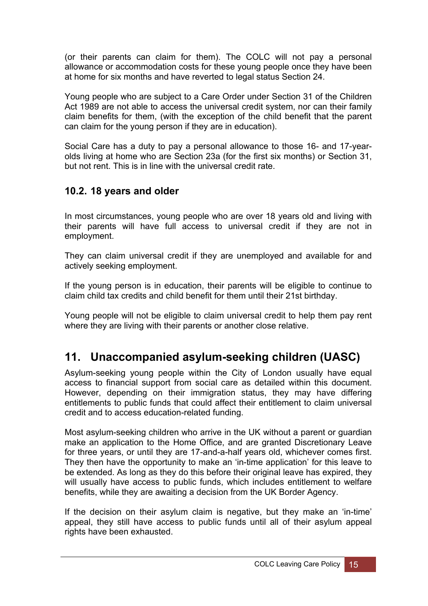(or their parents can claim for them). The COLC will not pay a personal allowance or accommodation costs for these young people once they have been at home for six months and have reverted to legal status Section 24.

Young people who are subject to a Care Order under Section 31 of the Children Act 1989 are not able to access the universal credit system, nor can their family claim benefits for them, (with the exception of the child benefit that the parent can claim for the young person if they are in education).

Social Care has a duty to pay a personal allowance to those 16- and 17-yearolds living at home who are Section 23a (for the first six months) or Section 31, but not rent. This is in line with the universal credit rate.

## **10.2. 18 years and older**

In most circumstances, young people who are over 18 years old and living with their parents will have full access to universal credit if they are not in employment.

They can claim universal credit if they are unemployed and available for and actively seeking employment.

If the young person is in education, their parents will be eligible to continue to claim child tax credits and child benefit for them until their 21st birthday.

Young people will not be eligible to claim universal credit to help them pay rent where they are living with their parents or another close relative.

## <span id="page-18-0"></span>**11. Unaccompanied asylum-seeking children (UASC)**

Asylum-seeking young people within the City of London usually have equal access to financial support from social care as detailed within this document. However, depending on their immigration status, they may have differing entitlements to public funds that could affect their entitlement to claim universal credit and to access education-related funding.

Most asylum-seeking children who arrive in the UK without a parent or guardian make an application to the Home Office, and are granted Discretionary Leave for three years, or until they are 17-and-a-half years old, whichever comes first. They then have the opportunity to make an 'in-time application' for this leave to be extended. As long as they do this before their original leave has expired, they will usually have access to public funds, which includes entitlement to welfare benefits, while they are awaiting a decision from the UK Border Agency.

If the decision on their asylum claim is negative, but they make an 'in-time' appeal, they still have access to public funds until all of their asylum appeal rights have been exhausted.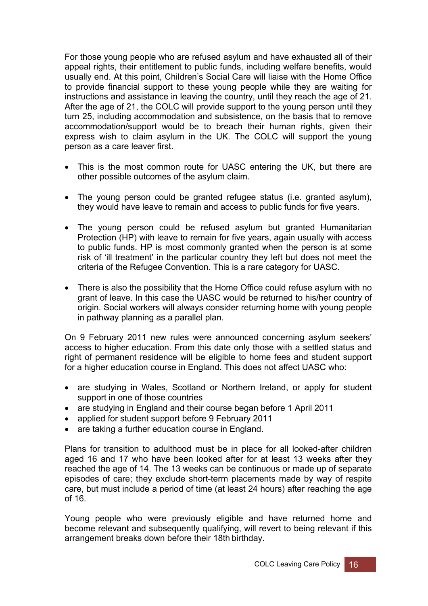For those young people who are refused asylum and have exhausted all of their appeal rights, their entitlement to public funds, including welfare benefits, would usually end. At this point, Children's Social Care will liaise with the Home Office to provide financial support to these young people while they are waiting for instructions and assistance in leaving the country, until they reach the age of 21. After the age of 21, the COLC will provide support to the young person until they turn 25, including accommodation and subsistence, on the basis that to remove accommodation/support would be to breach their human rights, given their express wish to claim asylum in the UK. The COLC will support the young person as a care leaver first.

- This is the most common route for UASC entering the UK, but there are other possible outcomes of the asylum claim.
- The young person could be granted refugee status (i.e. granted asylum), they would have leave to remain and access to public funds for five years.
- The young person could be refused asylum but granted Humanitarian Protection (HP) with leave to remain for five years, again usually with access to public funds. HP is most commonly granted when the person is at some risk of 'ill treatment' in the particular country they left but does not meet the criteria of the Refugee Convention. This is a rare category for UASC.
- There is also the possibility that the Home Office could refuse asylum with no grant of leave. In this case the UASC would be returned to his/her country of origin. Social workers will always consider returning home with young people in pathway planning as a parallel plan.

On 9 February 2011 new rules were announced concerning asylum seekers' access to higher education. From this date only those with a settled status and right of permanent residence will be eligible to home fees and student support for a higher education course in England. This does not affect UASC who:

- are studying in Wales, Scotland or Northern Ireland, or apply for student support in one of those countries
- are studying in England and their course began before 1 April 2011
- applied for student support before 9 February 2011
- are taking a further education course in England.

Plans for transition to adulthood must be in place for all looked-after children aged 16 and 17 who have been looked after for at least 13 weeks after they reached the age of 14. The 13 weeks can be continuous or made up of separate episodes of care; they exclude short-term placements made by way of respite care, but must include a period of time (at least 24 hours) after reaching the age of 16.

Young people who were previously eligible and have returned home and become relevant and subsequently qualifying, will revert to being relevant if this arrangement breaks down before their 18th birthday.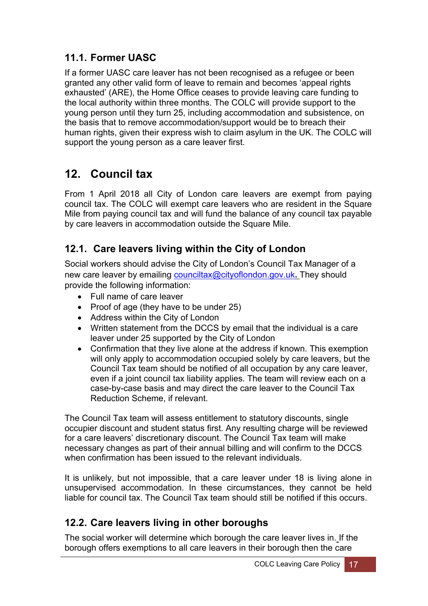## **11.1. Former UASC**

If a former UASC care leaver has not been recognised as a refugee or been granted any other valid form of leave to remain and becomes 'appeal rights exhausted' (ARE), the Home Office ceases to provide leaving care funding to the local authority within three months. The COLC will provide support to the young person until they turn 25, including accommodation and subsistence, on the basis that to remove accommodation/support would be to breach their human rights, given their express wish to claim asylum in the UK. The COLC will support the young person as a care leaver first.

## <span id="page-20-0"></span>**12. Council tax**

From 1 April 2018 all City of London care leavers are exempt from paying council tax. The COLC will exempt care leavers who are resident in the Square Mile from paying council tax and will fund the balance of any council tax payable by care leavers in accommodation outside the Square Mile.

## **12.1. Care leavers living within the City of London**

Social workers should advise the City of London's Council Tax Manager of a new care leaver by emailing [counciltax@cityoflondon.gov.uk](mailto:counciltax@cityoflondon.gov.uk)**.** They should provide the following information:

- Full name of care leaver
- Proof of age (they have to be under  $25$ )
- Address within the City of London
- Written statement from the DCCS by email that the individual is a care leaver under 25 supported by the City of London
- Confirmation that they live alone at the address if known. This exemption will only apply to accommodation occupied solely by care leavers, but the Council Tax team should be notified of all occupation by any care leaver, even if a joint council tax liability applies. The team will review each on a case-by-case basis and may direct the care leaver to the Council Tax Reduction Scheme, if relevant.

The Council Tax team will assess entitlement to statutory discounts, single occupier discount and student status first. Any resulting charge will be reviewed for a care leavers' discretionary discount. The Council Tax team will make necessary changes as part of their annual billing and will confirm to the DCCS when confirmation has been issued to the relevant individuals.

It is unlikely, but not impossible, that a care leaver under 18 is living alone in unsupervised accommodation. In these circumstances, they cannot be held liable for council tax. The Council Tax team should still be notified if this occurs.

## **12.2. Care leavers living in other boroughs**

The social worker will determine which borough the care leaver lives in. If the borough offers exemptions to all care leavers in their borough then the care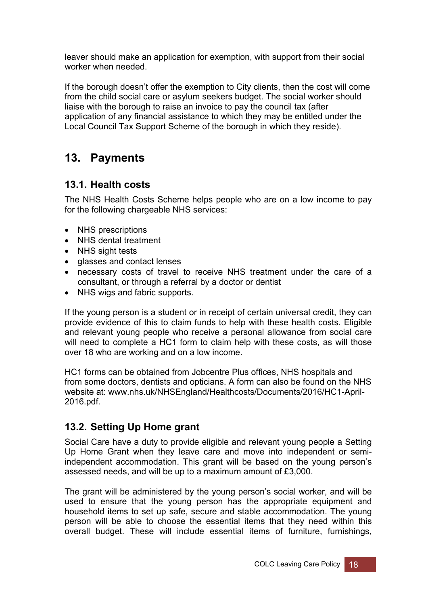leaver should make an application for exemption, with support from their social worker when needed.

If the borough doesn't offer the exemption to City clients, then the cost will come from the child social care or asylum seekers budget. The social worker should liaise with the borough to raise an invoice to pay the council tax (after application of any financial assistance to which they may be entitled under the Local Council Tax Support Scheme of the borough in which they reside).

## <span id="page-21-0"></span>**13. Payments**

### **13.1. Health costs**

The NHS Health Costs Scheme helps people who are on a low income to pay for the following chargeable NHS services:

- NHS prescriptions
- NHS dental treatment
- NHS sight tests
- glasses and contact lenses
- necessary costs of travel to receive NHS treatment under the care of a consultant, or through a referral by a doctor or dentist
- NHS wigs and fabric supports.

If the young person is a student or in receipt of certain universal credit, they can provide evidence of this to claim funds to help with these health costs. Eligible and relevant young people who receive a personal allowance from social care will need to complete a HC1 form to claim help with these costs, as will those over 18 who are working and on a low income.

HC1 forms can be obtained from Jobcentre Plus offices, NHS hospitals and from some doctors, dentists and opticians. A form can also be found on the NHS website at: www.nhs.uk/NHSEngland/Healthcosts/Documents/2016/HC1-April-2016.pdf.

## **13.2. Setting Up Home grant**

Social Care have a duty to provide eligible and relevant young people a Setting Up Home Grant when they leave care and move into independent or semiindependent accommodation. This grant will be based on the young person's assessed needs, and will be up to a maximum amount of £3,000.

The grant will be administered by the young person's social worker, and will be used to ensure that the young person has the appropriate equipment and household items to set up safe, secure and stable accommodation. The young person will be able to choose the essential items that they need within this overall budget. These will include essential items of furniture, furnishings,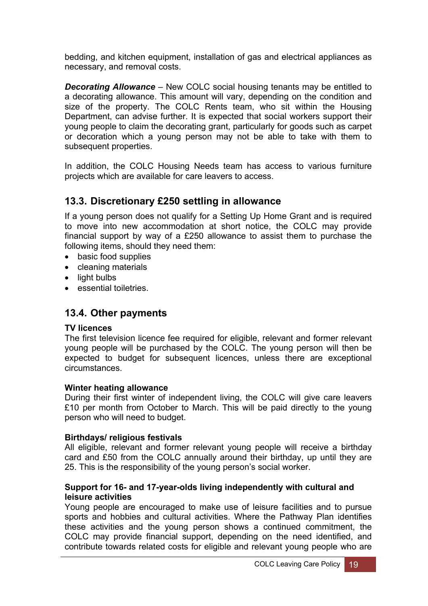bedding, and kitchen equipment, installation of gas and electrical appliances as necessary, and removal costs.

*Decorating Allowance –* New COLC social housing tenants may be entitled to a decorating allowance. This amount will vary, depending on the condition and size of the property. The COLC Rents team, who sit within the Housing Department, can advise further. It is expected that social workers support their young people to claim the decorating grant, particularly for goods such as carpet or decoration which a young person may not be able to take with them to subsequent properties.

In addition, the COLC Housing Needs team has access to various furniture projects which are available for care leavers to access.

### **13.3. Discretionary £250 settling in allowance**

If a young person does not qualify for a Setting Up Home Grant and is required to move into new accommodation at short notice, the COLC may provide financial support by way of a £250 allowance to assist them to purchase the following items, should they need them:

- basic food supplies
- cleaning materials
- light bulbs
- essential toiletries.

#### **13.4. Other payments**

#### **TV licences**

The first television licence fee required for eligible, relevant and former relevant young people will be purchased by the COLC. The young person will then be expected to budget for subsequent licences, unless there are exceptional circumstances.

#### **Winter heating allowance**

During their first winter of independent living, the COLC will give care leavers £10 per month from October to March. This will be paid directly to the young person who will need to budget.

#### **Birthdays/ religious festivals**

All eligible, relevant and former relevant young people will receive a birthday card and £50 from the COLC annually around their birthday, up until they are 25. This is the responsibility of the young person's social worker.

#### **Support for 16- and 17-year-olds living independently with cultural and leisure activities**

Young people are encouraged to make use of leisure facilities and to pursue sports and hobbies and cultural activities. Where the Pathway Plan identifies these activities and the young person shows a continued commitment, the COLC may provide financial support, depending on the need identified, and contribute towards related costs for eligible and relevant young people who are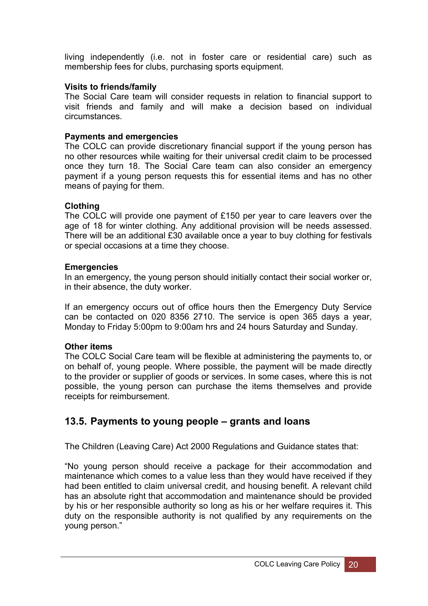living independently (i.e. not in foster care or residential care) such as membership fees for clubs, purchasing sports equipment.

#### **Visits to friends/family**

The Social Care team will consider requests in relation to financial support to visit friends and family and will make a decision based on individual circumstances.

#### **Payments and emergencies**

The COLC can provide discretionary financial support if the young person has no other resources while waiting for their universal credit claim to be processed once they turn 18. The Social Care team can also consider an emergency payment if a young person requests this for essential items and has no other means of paying for them.

#### **Clothing**

The COLC will provide one payment of £150 per year to care leavers over the age of 18 for winter clothing. Any additional provision will be needs assessed. There will be an additional £30 available once a year to buy clothing for festivals or special occasions at a time they choose.

#### **Emergencies**

In an emergency, the young person should initially contact their social worker or, in their absence, the duty worker.

If an emergency occurs out of office hours then the Emergency Duty Service can be contacted on 020 8356 2710. The service is open 365 days a year, Monday to Friday 5:00pm to 9:00am hrs and 24 hours Saturday and Sunday.

#### **Other items**

The COLC Social Care team will be flexible at administering the payments to, or on behalf of, young people. Where possible, the payment will be made directly to the provider or supplier of goods or services. In some cases, where this is not possible, the young person can purchase the items themselves and provide receipts for reimbursement.

## **13.5. Payments to young people – grants and loans**

The Children (Leaving Care) Act 2000 Regulations and Guidance states that:

"No young person should receive a package for their accommodation and maintenance which comes to a value less than they would have received if they had been entitled to claim universal credit, and housing benefit. A relevant child has an absolute right that accommodation and maintenance should be provided by his or her responsible authority so long as his or her welfare requires it. This duty on the responsible authority is not qualified by any requirements on the young person."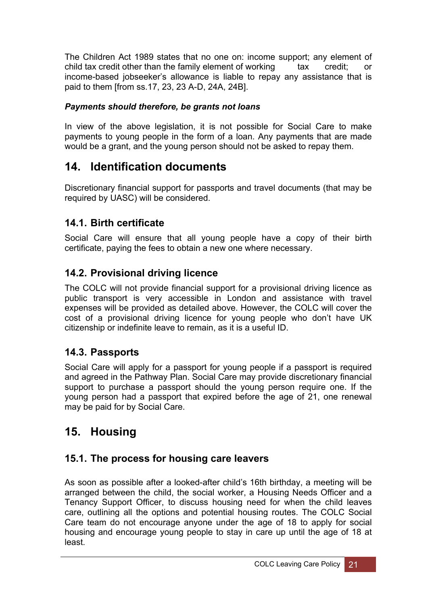The Children Act 1989 states that no one on: income support; any element of child tax credit other than the family element of working tax credit; or income-based jobseeker's allowance is liable to repay any assistance that is paid to them [from ss.17, 23, 23 A-D, 24A, 24B].

### *Payments should therefore, be grants not loans*

In view of the above legislation, it is not possible for Social Care to make payments to young people in the form of a loan. Any payments that are made would be a grant, and the young person should not be asked to repay them.

## <span id="page-24-0"></span>**14. Identification documents**

Discretionary financial support for passports and travel documents (that may be required by UASC) will be considered.

## **14.1. Birth certificate**

Social Care will ensure that all young people have a copy of their birth certificate, paying the fees to obtain a new one where necessary.

## **14.2. Provisional driving licence**

The COLC will not provide financial support for a provisional driving licence as public transport is very accessible in London and assistance with travel expenses will be provided as detailed above. However, the COLC will cover the cost of a provisional driving licence for young people who don't have UK citizenship or indefinite leave to remain, as it is a useful ID.

## **14.3. Passports**

Social Care will apply for a passport for young people if a passport is required and agreed in the Pathway Plan. Social Care may provide discretionary financial support to purchase a passport should the young person require one. If the young person had a passport that expired before the age of 21, one renewal may be paid for by Social Care.

## <span id="page-24-1"></span>**15. Housing**

## **15.1. The process for housing care leavers**

As soon as possible after a looked-after child's 16th birthday, a meeting will be arranged between the child, the social worker, a Housing Needs Officer and a Tenancy Support Officer, to discuss housing need for when the child leaves care, outlining all the options and potential housing routes. The COLC Social Care team do not encourage anyone under the age of 18 to apply for social housing and encourage young people to stay in care up until the age of 18 at least.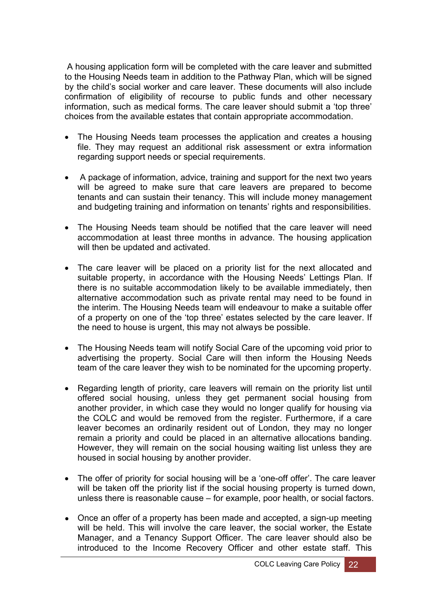A housing application form will be completed with the care leaver and submitted to the Housing Needs team in addition to the Pathway Plan, which will be signed by the child's social worker and care leaver. These documents will also include confirmation of eligibility of recourse to public funds and other necessary information, such as medical forms. The care leaver should submit a 'top three' choices from the available estates that contain appropriate accommodation.

- The Housing Needs team processes the application and creates a housing file. They may request an additional risk assessment or extra information regarding support needs or special requirements.
- A package of information, advice, training and support for the next two years will be agreed to make sure that care leavers are prepared to become tenants and can sustain their tenancy. This will include money management and budgeting training and information on tenants' rights and responsibilities.
- The Housing Needs team should be notified that the care leaver will need accommodation at least three months in advance. The housing application will then be updated and activated.
- The care leaver will be placed on a priority list for the next allocated and suitable property, in accordance with the Housing Needs' Lettings Plan. If there is no suitable accommodation likely to be available immediately, then alternative accommodation such as private rental may need to be found in the interim. The Housing Needs team will endeavour to make a suitable offer of a property on one of the 'top three' estates selected by the care leaver. If the need to house is urgent, this may not always be possible.
- The Housing Needs team will notify Social Care of the upcoming void prior to advertising the property. Social Care will then inform the Housing Needs team of the care leaver they wish to be nominated for the upcoming property.
- Regarding length of priority, care leavers will remain on the priority list until offered social housing, unless they get permanent social housing from another provider, in which case they would no longer qualify for housing via the COLC and would be removed from the register. Furthermore, if a care leaver becomes an ordinarily resident out of London, they may no longer remain a priority and could be placed in an alternative allocations banding. However, they will remain on the social housing waiting list unless they are housed in social housing by another provider.
- The offer of priority for social housing will be a 'one-off offer'. The care leaver will be taken off the priority list if the social housing property is turned down, unless there is reasonable cause – for example, poor health, or social factors.
- Once an offer of a property has been made and accepted, a sign-up meeting will be held. This will involve the care leaver, the social worker, the Estate Manager, and a Tenancy Support Officer. The care leaver should also be introduced to the Income Recovery Officer and other estate staff. This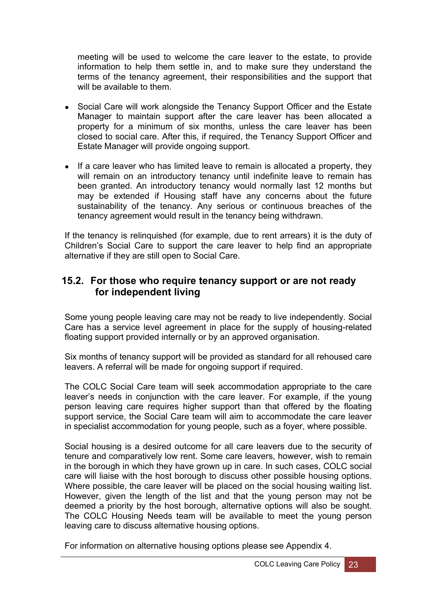meeting will be used to welcome the care leaver to the estate, to provide information to help them settle in, and to make sure they understand the terms of the tenancy agreement, their responsibilities and the support that will be available to them.

- Social Care will work alongside the Tenancy Support Officer and the Estate Manager to maintain support after the care leaver has been allocated a property for a minimum of six months, unless the care leaver has been closed to social care. After this, if required, the Tenancy Support Officer and Estate Manager will provide ongoing support.
- If a care leaver who has limited leave to remain is allocated a property, they will remain on an introductory tenancy until indefinite leave to remain has been granted. An introductory tenancy would normally last 12 months but may be extended if Housing staff have any concerns about the future sustainability of the tenancy. Any serious or continuous breaches of the tenancy agreement would result in the tenancy being withdrawn.

If the tenancy is relinquished (for example, due to rent arrears) it is the duty of Children's Social Care to support the care leaver to help find an appropriate alternative if they are still open to Social Care.

### **15.2. For those who require tenancy support or are not ready for independent living**

Some young people leaving care may not be ready to live independently. Social Care has a service level agreement in place for the supply of housing-related floating support provided internally or by an approved organisation.

Six months of tenancy support will be provided as standard for all rehoused care leavers. A referral will be made for ongoing support if required.

The COLC Social Care team will seek accommodation appropriate to the care leaver's needs in conjunction with the care leaver. For example, if the young person leaving care requires higher support than that offered by the floating support service, the Social Care team will aim to accommodate the care leaver in specialist accommodation for young people, such as a foyer, where possible.

Social housing is a desired outcome for all care leavers due to the security of tenure and comparatively low rent. Some care leavers, however, wish to remain in the borough in which they have grown up in care. In such cases, COLC social care will liaise with the host borough to discuss other possible housing options. Where possible, the care leaver will be placed on the social housing waiting list. However, given the length of the list and that the young person may not be deemed a priority by the host borough, alternative options will also be sought. The COLC Housing Needs team will be available to meet the young person leaving care to discuss alternative housing options.

For information on alternative housing options please see Appendix 4.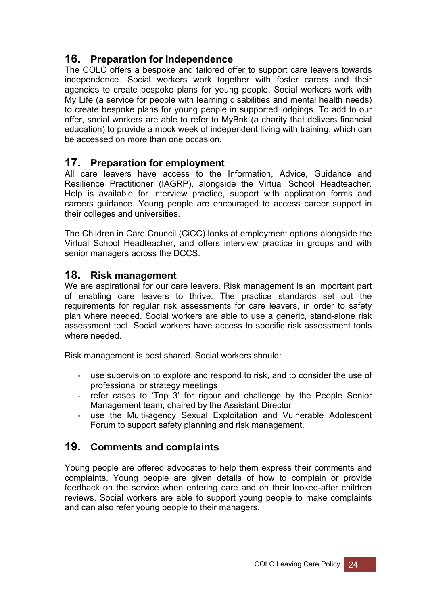## **16. Preparation for Independence**

The COLC offers a bespoke and tailored offer to support care leavers towards independence. Social workers work together with foster carers and their agencies to create bespoke plans for young people. Social workers work with My Life (a service for people with learning disabilities and mental health needs) to create bespoke plans for young people in supported lodgings. To add to our offer, social workers are able to refer to MyBnk (a charity that delivers financial education) to provide a mock week of independent living with training, which can be accessed on more than one occasion.

## **17. Preparation for employment**

All care leavers have access to the Information, Advice, Guidance and Resilience Practitioner (IAGRP), alongside the Virtual School Headteacher. Help is available for interview practice, support with application forms and careers guidance. Young people are encouraged to access career support in their colleges and universities.

The Children in Care Council (CiCC) looks at employment options alongside the Virtual School Headteacher, and offers interview practice in groups and with senior managers across the DCCS.

### **18. Risk management**

We are aspirational for our care leavers. Risk management is an important part of enabling care leavers to thrive. The practice standards set out the requirements for regular risk assessments for care leavers, in order to safety plan where needed. Social workers are able to use a generic, stand-alone risk assessment tool. Social workers have access to specific risk assessment tools where needed

Risk management is best shared. Social workers should:

- use supervision to explore and respond to risk, and to consider the use of professional or strategy meetings
- refer cases to 'Top 3' for rigour and challenge by the People Senior Management team, chaired by the Assistant Director
- use the Multi-agency Sexual Exploitation and Vulnerable Adolescent Forum to support safety planning and risk management.

## **19. Comments and complaints**

Young people are offered advocates to help them express their comments and complaints. Young people are given details of how to complain or provide feedback on the service when entering care and on their looked-after children reviews. Social workers are able to support young people to make complaints and can also refer young people to their managers.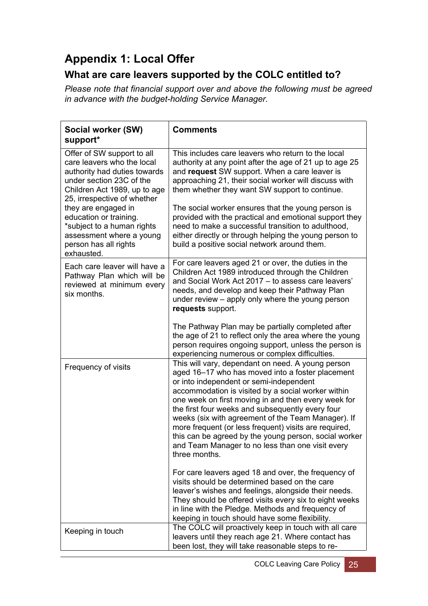## <span id="page-28-0"></span>**Appendix 1: Local Offer**

## **What are care leavers supported by the COLC entitled to?**

*Please note that financial support over and above the following must be agreed in advance with the budget-holding Service Manager.*

| Social worker (SW)<br>support*                                                                                                                                                                                                                                                                                                        | <b>Comments</b>                                                                                                                                                                                                                                                                                                                                                                                                                                                                                                                                                |
|---------------------------------------------------------------------------------------------------------------------------------------------------------------------------------------------------------------------------------------------------------------------------------------------------------------------------------------|----------------------------------------------------------------------------------------------------------------------------------------------------------------------------------------------------------------------------------------------------------------------------------------------------------------------------------------------------------------------------------------------------------------------------------------------------------------------------------------------------------------------------------------------------------------|
| Offer of SW support to all<br>care leavers who the local<br>authority had duties towards<br>under section 23C of the<br>Children Act 1989, up to age<br>25, irrespective of whether<br>they are engaged in<br>education or training.<br>*subject to a human rights<br>assessment where a young<br>person has all rights<br>exhausted. | This includes care leavers who return to the local<br>authority at any point after the age of 21 up to age 25<br>and request SW support. When a care leaver is<br>approaching 21, their social worker will discuss with<br>them whether they want SW support to continue.<br>The social worker ensures that the young person is<br>provided with the practical and emotional support they<br>need to make a successful transition to adulthood,<br>either directly or through helping the young person to<br>build a positive social network around them.      |
| Each care leaver will have a<br>Pathway Plan which will be<br>reviewed at minimum every<br>six months.                                                                                                                                                                                                                                | For care leavers aged 21 or over, the duties in the<br>Children Act 1989 introduced through the Children<br>and Social Work Act 2017 - to assess care leavers'<br>needs, and develop and keep their Pathway Plan<br>under review – apply only where the young person<br>requests support.                                                                                                                                                                                                                                                                      |
|                                                                                                                                                                                                                                                                                                                                       | The Pathway Plan may be partially completed after<br>the age of 21 to reflect only the area where the young<br>person requires ongoing support, unless the person is<br>experiencing numerous or complex difficulties.                                                                                                                                                                                                                                                                                                                                         |
| Frequency of visits                                                                                                                                                                                                                                                                                                                   | This will vary, dependant on need. A young person<br>aged 16-17 who has moved into a foster placement<br>or into independent or semi-independent<br>accommodation is visited by a social worker within<br>one week on first moving in and then every week for<br>the first four weeks and subsequently every four<br>weeks (six with agreement of the Team Manager). If<br>more frequent (or less frequent) visits are required,<br>this can be agreed by the young person, social worker<br>and Team Manager to no less than one visit every<br>three months. |
|                                                                                                                                                                                                                                                                                                                                       | For care leavers aged 18 and over, the frequency of<br>visits should be determined based on the care<br>leaver's wishes and feelings, alongside their needs.<br>They should be offered visits every six to eight weeks<br>in line with the Pledge. Methods and frequency of<br>keeping in touch should have some flexibility.                                                                                                                                                                                                                                  |
| Keeping in touch                                                                                                                                                                                                                                                                                                                      | The COLC will proactively keep in touch with all care<br>leavers until they reach age 21. Where contact has<br>been lost, they will take reasonable steps to re-                                                                                                                                                                                                                                                                                                                                                                                               |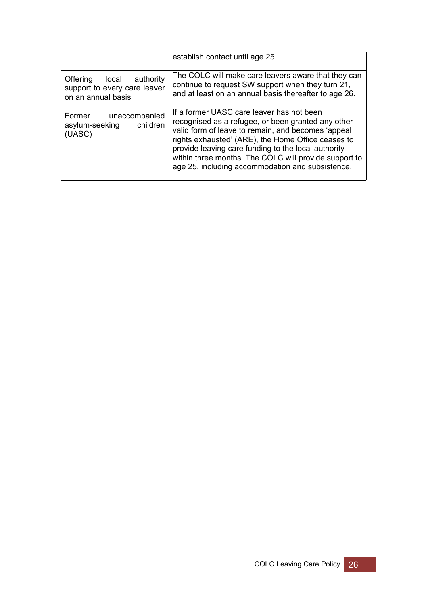|                                                                                   | establish contact until age 25.                                                                                                                                                                                                                                                                                                                                                 |
|-----------------------------------------------------------------------------------|---------------------------------------------------------------------------------------------------------------------------------------------------------------------------------------------------------------------------------------------------------------------------------------------------------------------------------------------------------------------------------|
| Offering<br>local authority<br>support to every care leaver<br>on an annual basis | The COLC will make care leavers aware that they can<br>continue to request SW support when they turn 21,<br>and at least on an annual basis thereafter to age 26.                                                                                                                                                                                                               |
| Former<br>unaccompanied<br>children<br>asylum-seeking<br>(UASC)                   | If a former UASC care leaver has not been<br>recognised as a refugee, or been granted any other<br>valid form of leave to remain, and becomes 'appeal<br>rights exhausted' (ARE), the Home Office ceases to<br>provide leaving care funding to the local authority<br>within three months. The COLC will provide support to<br>age 25, including accommodation and subsistence. |

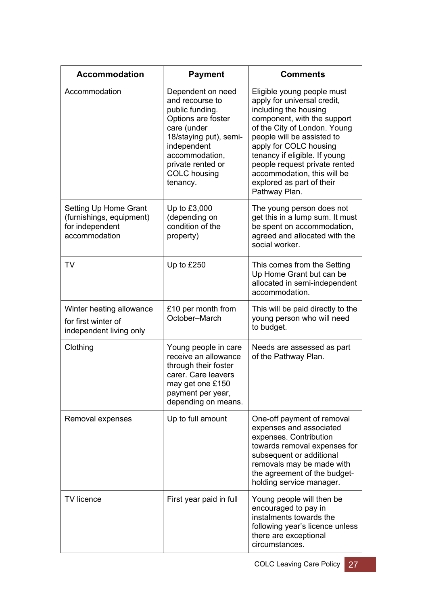| <b>Accommodation</b>                                                                  | <b>Payment</b>                                                                                                                                                                                                  | <b>Comments</b>                                                                                                                                                                                                                                                                                                                                          |
|---------------------------------------------------------------------------------------|-----------------------------------------------------------------------------------------------------------------------------------------------------------------------------------------------------------------|----------------------------------------------------------------------------------------------------------------------------------------------------------------------------------------------------------------------------------------------------------------------------------------------------------------------------------------------------------|
| Accommodation                                                                         | Dependent on need<br>and recourse to<br>public funding.<br>Options are foster<br>care (under<br>18/staying put), semi-<br>independent<br>accommodation,<br>private rented or<br><b>COLC</b> housing<br>tenancy. | Eligible young people must<br>apply for universal credit,<br>including the housing<br>component, with the support<br>of the City of London. Young<br>people will be assisted to<br>apply for COLC housing<br>tenancy if eligible. If young<br>people request private rented<br>accommodation, this will be<br>explored as part of their<br>Pathway Plan. |
| Setting Up Home Grant<br>(furnishings, equipment)<br>for independent<br>accommodation | Up to £3,000<br>(depending on<br>condition of the<br>property)                                                                                                                                                  | The young person does not<br>get this in a lump sum. It must<br>be spent on accommodation,<br>agreed and allocated with the<br>social worker.                                                                                                                                                                                                            |
| <b>TV</b>                                                                             | Up to £250                                                                                                                                                                                                      | This comes from the Setting<br>Up Home Grant but can be<br>allocated in semi-independent<br>accommodation.                                                                                                                                                                                                                                               |
| Winter heating allowance<br>for first winter of<br>independent living only            | £10 per month from<br>October-March                                                                                                                                                                             | This will be paid directly to the<br>young person who will need<br>to budget.                                                                                                                                                                                                                                                                            |
| Clothing                                                                              | Young people in care<br>receive an allowance<br>through their foster<br>carer. Care leavers<br>may get one £150<br>payment per year,<br>depending on means.                                                     | Needs are assessed as part<br>of the Pathway Plan.                                                                                                                                                                                                                                                                                                       |
| Removal expenses                                                                      | Up to full amount                                                                                                                                                                                               | One-off payment of removal<br>expenses and associated<br>expenses. Contribution<br>towards removal expenses for<br>subsequent or additional<br>removals may be made with<br>the agreement of the budget-<br>holding service manager.                                                                                                                     |
| TV licence                                                                            | First year paid in full                                                                                                                                                                                         | Young people will then be<br>encouraged to pay in<br>instalments towards the<br>following year's licence unless<br>there are exceptional<br>circumstances.                                                                                                                                                                                               |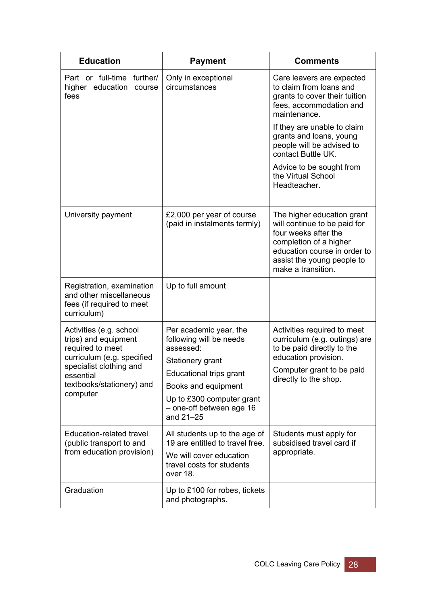| <b>Education</b>                                                                                                                                                                   | <b>Payment</b>                                                                                                                                                                                             | <b>Comments</b>                                                                                                                                                                                  |
|------------------------------------------------------------------------------------------------------------------------------------------------------------------------------------|------------------------------------------------------------------------------------------------------------------------------------------------------------------------------------------------------------|--------------------------------------------------------------------------------------------------------------------------------------------------------------------------------------------------|
| Part or full-time further/<br>higher education<br>course<br>fees                                                                                                                   | Only in exceptional<br>circumstances                                                                                                                                                                       | Care leavers are expected<br>to claim from loans and<br>grants to cover their tuition<br>fees, accommodation and<br>maintenance.                                                                 |
|                                                                                                                                                                                    |                                                                                                                                                                                                            | If they are unable to claim<br>grants and loans, young<br>people will be advised to<br>contact Buttle UK.                                                                                        |
|                                                                                                                                                                                    |                                                                                                                                                                                                            | Advice to be sought from<br>the Virtual School<br>Headteacher.                                                                                                                                   |
| University payment                                                                                                                                                                 | £2,000 per year of course<br>(paid in instalments termly)                                                                                                                                                  | The higher education grant<br>will continue to be paid for<br>four weeks after the<br>completion of a higher<br>education course in order to<br>assist the young people to<br>make a transition. |
| Registration, examination<br>and other miscellaneous<br>fees (if required to meet<br>curriculum)                                                                                   | Up to full amount                                                                                                                                                                                          |                                                                                                                                                                                                  |
| Activities (e.g. school<br>trips) and equipment<br>required to meet<br>curriculum (e.g. specified<br>specialist clothing and<br>essential<br>textbooks/stationery) and<br>computer | Per academic year, the<br>following will be needs<br>assessed:<br>Stationery grant<br>Educational trips grant<br>Books and equipment<br>Up to £300 computer grant<br>- one-off between age 16<br>and 21-25 | Activities required to meet<br>curriculum (e.g. outings) are<br>to be paid directly to the<br>education provision.<br>Computer grant to be paid<br>directly to the shop.                         |
| Education-related travel<br>(public transport to and<br>from education provision)                                                                                                  | All students up to the age of<br>19 are entitled to travel free.<br>We will cover education<br>travel costs for students<br>over 18.                                                                       | Students must apply for<br>subsidised travel card if<br>appropriate.                                                                                                                             |
| Graduation                                                                                                                                                                         | Up to £100 for robes, tickets<br>and photographs.                                                                                                                                                          |                                                                                                                                                                                                  |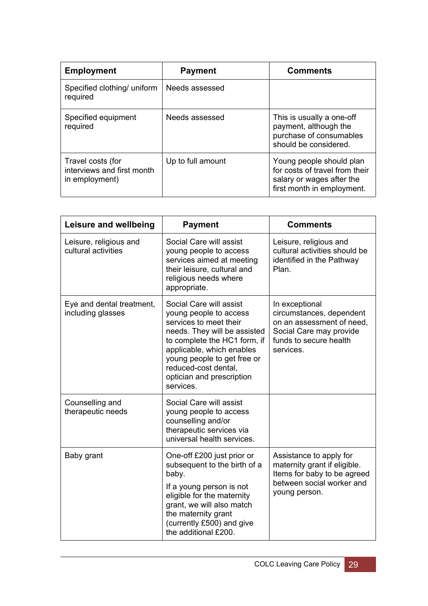| <b>Employment</b>                                                 | <b>Payment</b>    | <b>Comments</b>                                                                                                       |
|-------------------------------------------------------------------|-------------------|-----------------------------------------------------------------------------------------------------------------------|
| Specified clothing/ uniform<br>required                           | Needs assessed    |                                                                                                                       |
| Specified equipment<br>required                                   | Needs assessed    | This is usually a one-off<br>payment, although the<br>purchase of consumables<br>should be considered.                |
| Travel costs (for<br>interviews and first month<br>in employment) | Up to full amount | Young people should plan<br>for costs of travel from their<br>salary or wages after the<br>first month in employment. |

| Leisure and wellbeing                          | <b>Payment</b>                                                                                                                                                                                                                                                            | <b>Comments</b>                                                                                                                           |
|------------------------------------------------|---------------------------------------------------------------------------------------------------------------------------------------------------------------------------------------------------------------------------------------------------------------------------|-------------------------------------------------------------------------------------------------------------------------------------------|
| Leisure, religious and<br>cultural activities  | Social Care will assist<br>young people to access<br>services aimed at meeting<br>their leisure, cultural and<br>religious needs where<br>appropriate.                                                                                                                    | Leisure, religious and<br>cultural activities should be<br>identified in the Pathway<br>Plan.                                             |
| Eye and dental treatment,<br>including glasses | Social Care will assist<br>young people to access<br>services to meet their<br>needs. They will be assisted<br>to complete the HC1 form, if<br>applicable, which enables<br>young people to get free or<br>reduced-cost dental,<br>optician and prescription<br>services. | In exceptional<br>circumstances, dependent<br>on an assessment of need,<br>Social Care may provide<br>funds to secure health<br>services. |
| Counselling and<br>therapeutic needs           | Social Care will assist<br>young people to access<br>counselling and/or<br>therapeutic services via<br>universal health services.                                                                                                                                         |                                                                                                                                           |
| Baby grant                                     | One-off £200 just prior or<br>subsequent to the birth of a<br>baby.<br>If a young person is not<br>eligible for the maternity<br>grant, we will also match<br>the maternity grant<br>(currently £500) and give<br>the additional £200.                                    | Assistance to apply for<br>maternity grant if eligible.<br>Items for baby to be agreed<br>between social worker and<br>young person.      |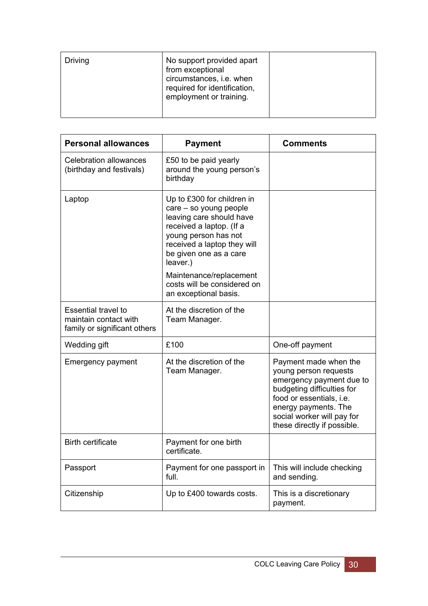| Driving | No support provided apart<br>from exceptional<br>circumstances, i.e. when<br>required for identification,<br>employment or training. |  |
|---------|--------------------------------------------------------------------------------------------------------------------------------------|--|
|         |                                                                                                                                      |  |

<span id="page-33-0"></span>

| <b>Personal allowances</b>                                                          | <b>Payment</b>                                                                                                                                                                                            | <b>Comments</b>                                                                                                                                                                                                           |
|-------------------------------------------------------------------------------------|-----------------------------------------------------------------------------------------------------------------------------------------------------------------------------------------------------------|---------------------------------------------------------------------------------------------------------------------------------------------------------------------------------------------------------------------------|
| <b>Celebration allowances</b><br>(birthday and festivals)                           | £50 to be paid yearly<br>around the young person's<br>birthday                                                                                                                                            |                                                                                                                                                                                                                           |
| Laptop                                                                              | Up to £300 for children in<br>care - so young people<br>leaving care should have<br>received a laptop. (If a<br>young person has not<br>received a laptop they will<br>be given one as a care<br>leaver.) |                                                                                                                                                                                                                           |
|                                                                                     | Maintenance/replacement<br>costs will be considered on<br>an exceptional basis.                                                                                                                           |                                                                                                                                                                                                                           |
| <b>Essential travel to</b><br>maintain contact with<br>family or significant others | At the discretion of the<br>Team Manager.                                                                                                                                                                 |                                                                                                                                                                                                                           |
| Wedding gift                                                                        | £100                                                                                                                                                                                                      | One-off payment                                                                                                                                                                                                           |
| <b>Emergency payment</b>                                                            | At the discretion of the<br>Team Manager.                                                                                                                                                                 | Payment made when the<br>young person requests<br>emergency payment due to<br>budgeting difficulties for<br>food or essentials, i.e.<br>energy payments. The<br>social worker will pay for<br>these directly if possible. |
| <b>Birth certificate</b>                                                            | Payment for one birth<br>certificate.                                                                                                                                                                     |                                                                                                                                                                                                                           |
| Passport                                                                            | Payment for one passport in<br>full.                                                                                                                                                                      | This will include checking<br>and sending.                                                                                                                                                                                |
| Citizenship                                                                         | Up to £400 towards costs.                                                                                                                                                                                 | This is a discretionary<br>payment.                                                                                                                                                                                       |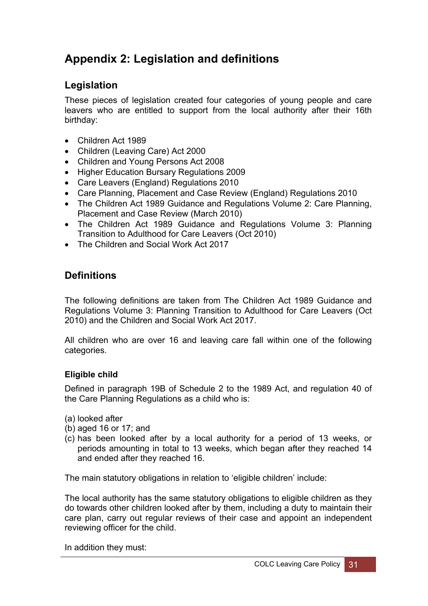## **Appendix 2: Legislation and definitions**

## **Legislation**

These pieces of legislation created four categories of young people and care leavers who are entitled to support from the local authority after their 16th birthday:

- Children Act 1989
- Children (Leaving Care) Act 2000
- Children and Young Persons Act 2008
- Higher Education Bursary Regulations 2009
- Care Leavers (England) Regulations 2010
- Care Planning, Placement and Case Review (England) Regulations 2010
- The Children Act 1989 Guidance and Regulations Volume 2: Care Planning, Placement and Case Review (March 2010)
- The Children Act 1989 Guidance and Regulations Volume 3: Planning Transition to Adulthood for Care Leavers (Oct 2010)
- The Children and Social Work Act 2017

### **Definitions**

The following definitions are taken from The Children Act 1989 Guidance and Regulations Volume 3: Planning Transition to Adulthood for Care Leavers (Oct 2010) and the Children and Social Work Act 2017.

All children who are over 16 and leaving care fall within one of the following categories.

#### **Eligible child**

Defined in paragraph 19B of Schedule 2 to the 1989 Act, and regulation 40 of the Care Planning Regulations as a child who is:

- (a) looked after
- (b) aged 16 or 17; and
- (c) has been looked after by a local authority for a period of 13 weeks, or periods amounting in total to 13 weeks, which began after they reached 14 and ended after they reached 16.

The main statutory obligations in relation to 'eligible children' include:

The local authority has the same statutory obligations to eligible children as they do towards other children looked after by them, including a duty to maintain their care plan, carry out regular reviews of their case and appoint an independent reviewing officer for the child.

In addition they must: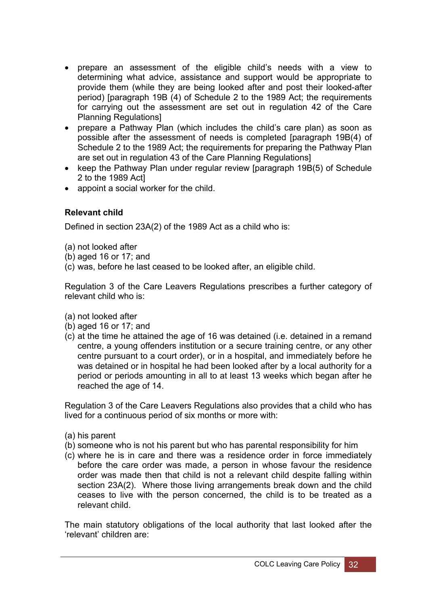- prepare an assessment of the eligible child's needs with a view to determining what advice, assistance and support would be appropriate to provide them (while they are being looked after and post their looked-after period) [paragraph 19B (4) of Schedule 2 to the 1989 Act; the requirements for carrying out the assessment are set out in regulation 42 of the Care Planning Regulations]
- prepare a Pathway Plan (which includes the child's care plan) as soon as possible after the assessment of needs is completed [paragraph 19B(4) of Schedule 2 to the 1989 Act; the requirements for preparing the Pathway Plan are set out in regulation 43 of the Care Planning Regulations]
- keep the Pathway Plan under regular review [paragraph 19B(5) of Schedule 2 to the 1989 Act]
- appoint a social worker for the child.

#### **Relevant child**

Defined in section 23A(2) of the 1989 Act as a child who is:

- (a) not looked after
- (b) aged 16 or 17; and
- (c) was, before he last ceased to be looked after, an eligible child.

Regulation 3 of the Care Leavers Regulations prescribes a further category of relevant child who is:

- (a) not looked after
- (b) aged 16 or 17; and
- (c) at the time he attained the age of 16 was detained (i.e. detained in a remand centre, a young offenders institution or a secure training centre, or any other centre pursuant to a court order), or in a hospital, and immediately before he was detained or in hospital he had been looked after by a local authority for a period or periods amounting in all to at least 13 weeks which began after he reached the age of 14.

Regulation 3 of the Care Leavers Regulations also provides that a child who has lived for a continuous period of six months or more with:

- (a) his parent
- (b) someone who is not his parent but who has parental responsibility for him
- (c) where he is in care and there was a residence order in force immediately before the care order was made, a person in whose favour the residence order was made then that child is not a relevant child despite falling within section 23A(2). Where those living arrangements break down and the child ceases to live with the person concerned, the child is to be treated as a relevant child.

The main statutory obligations of the local authority that last looked after the 'relevant' children are: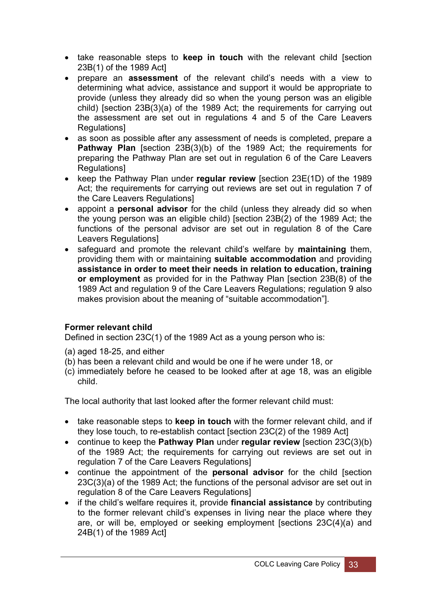- take reasonable steps to **keep in touch** with the relevant child [section 23B(1) of the 1989 Act]
- prepare an **assessment** of the relevant child's needs with a view to determining what advice, assistance and support it would be appropriate to provide (unless they already did so when the young person was an eligible child) [section 23B(3)(a) of the 1989 Act; the requirements for carrying out the assessment are set out in regulations 4 and 5 of the Care Leavers Regulations]
- as soon as possible after any assessment of needs is completed, prepare a **Pathway Plan** [section 23B(3)(b) of the 1989 Act; the requirements for preparing the Pathway Plan are set out in regulation 6 of the Care Leavers Regulations]
- keep the Pathway Plan under **regular review** [section 23E(1D) of the 1989 Act; the requirements for carrying out reviews are set out in regulation 7 of the Care Leavers Regulations]
- appoint a **personal advisor** for the child (unless they already did so when the young person was an eligible child) [section 23B(2) of the 1989 Act; the functions of the personal advisor are set out in regulation 8 of the Care Leavers Regulations]
- safeguard and promote the relevant child's welfare by **maintaining** them, providing them with or maintaining **suitable accommodation** and providing **assistance in order to meet their needs in relation to education, training or employment** as provided for in the Pathway Plan [section 23B(8) of the 1989 Act and regulation 9 of the Care Leavers Regulations; regulation 9 also makes provision about the meaning of "suitable accommodation"].

#### **Former relevant child**

Defined in section 23C(1) of the 1989 Act as a young person who is:

- (a) aged 18-25, and either
- (b) has been a relevant child and would be one if he were under 18, or
- (c) immediately before he ceased to be looked after at age 18, was an eligible child.

The local authority that last looked after the former relevant child must:

- take reasonable steps to **keep in touch** with the former relevant child, and if they lose touch, to re-establish contact [section 23C(2) of the 1989 Act]
- continue to keep the **Pathway Plan** under **regular review** [section 23C(3)(b) of the 1989 Act; the requirements for carrying out reviews are set out in regulation 7 of the Care Leavers Regulations]
- continue the appointment of the **personal advisor** for the child [section 23C(3)(a) of the 1989 Act; the functions of the personal advisor are set out in regulation 8 of the Care Leavers Regulations]
- if the child's welfare requires it, provide **financial assistance** by contributing to the former relevant child's expenses in living near the place where they are, or will be, employed or seeking employment [sections 23C(4)(a) and 24B(1) of the 1989 Act]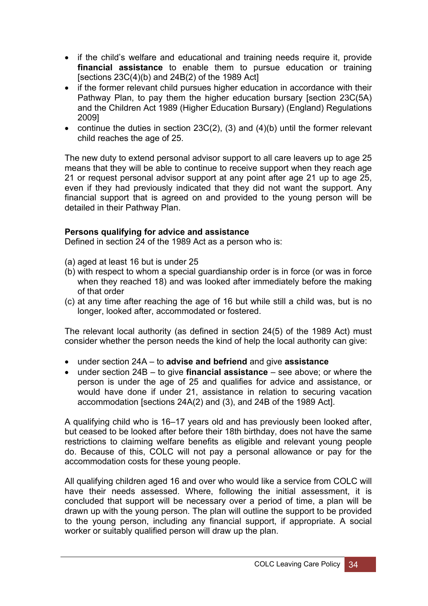- if the child's welfare and educational and training needs require it, provide **financial assistance** to enable them to pursue education or training [sections  $23C(4)(b)$  and  $24B(2)$  of the 1989 Act]
- if the former relevant child pursues higher education in accordance with their Pathway Plan, to pay them the higher education bursary [section 23C(5A) and the Children Act 1989 (Higher Education Bursary) (England) Regulations 2009]
- continue the duties in section  $23C(2)$ , (3) and (4)(b) until the former relevant child reaches the age of 25.

The new duty to extend personal advisor support to all care leavers up to age 25 means that they will be able to continue to receive support when they reach age 21 or request personal advisor support at any point after age 21 up to age 25, even if they had previously indicated that they did not want the support. Any financial support that is agreed on and provided to the young person will be detailed in their Pathway Plan.

#### **Persons qualifying for advice and assistance**

Defined in section 24 of the 1989 Act as a person who is:

- (a) aged at least 16 but is under 25
- (b) with respect to whom a special guardianship order is in force (or was in force when they reached 18) and was looked after immediately before the making of that order
- (c) at any time after reaching the age of 16 but while still a child was, but is no longer, looked after, accommodated or fostered.

The relevant local authority (as defined in section 24(5) of the 1989 Act) must consider whether the person needs the kind of help the local authority can give:

- under section 24A to **advise and befriend** and give **assistance**
- under section 24B to give **financial assistance** see above; or where the person is under the age of 25 and qualifies for advice and assistance, or would have done if under 21, assistance in relation to securing vacation accommodation [sections 24A(2) and (3), and 24B of the 1989 Act].

A qualifying child who is 16–17 years old and has previously been looked after, but ceased to be looked after before their 18th birthday, does not have the same restrictions to claiming welfare benefits as eligible and relevant young people do. Because of this, COLC will not pay a personal allowance or pay for the accommodation costs for these young people.

All qualifying children aged 16 and over who would like a service from COLC will have their needs assessed. Where, following the initial assessment, it is concluded that support will be necessary over a period of time, a plan will be drawn up with the young person. The plan will outline the support to be provided to the young person, including any financial support, if appropriate. A social worker or suitably qualified person will draw up the plan.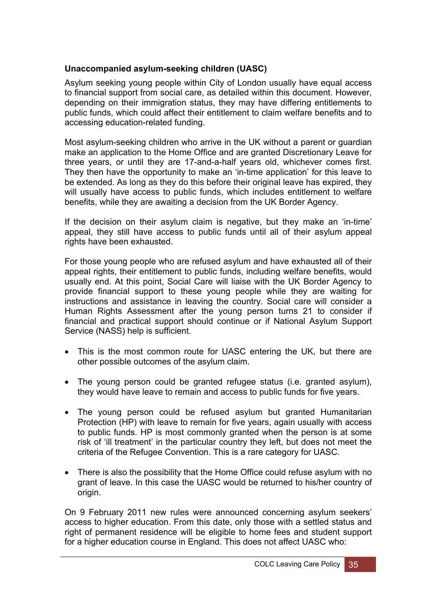#### **Unaccompanied asylum-seeking children (UASC)**

Asylum seeking young people within City of London usually have equal access to financial support from social care, as detailed within this document. However, depending on their immigration status, they may have differing entitlements to public funds, which could affect their entitlement to claim welfare benefits and to accessing education-related funding.

Most asylum-seeking children who arrive in the UK without a parent or guardian make an application to the Home Office and are granted Discretionary Leave for three years, or until they are 17-and-a-half years old, whichever comes first. They then have the opportunity to make an 'in-time application' for this leave to be extended. As long as they do this before their original leave has expired, they will usually have access to public funds, which includes entitlement to welfare benefits, while they are awaiting a decision from the UK Border Agency.

If the decision on their asylum claim is negative, but they make an 'in-time' appeal, they still have access to public funds until all of their asylum appeal rights have been exhausted.

For those young people who are refused asylum and have exhausted all of their appeal rights, their entitlement to public funds, including welfare benefits, would usually end. At this point, Social Care will liaise with the UK Border Agency to provide financial support to these young people while they are waiting for instructions and assistance in leaving the country. Social care will consider a Human Rights Assessment after the young person turns 21 to consider if financial and practical support should continue or if National Asylum Support Service (NASS) help is sufficient.

- This is the most common route for UASC entering the UK, but there are other possible outcomes of the asylum claim.
- The young person could be granted refugee status (i.e. granted asylum), they would have leave to remain and access to public funds for five years.
- The young person could be refused asylum but granted Humanitarian Protection (HP) with leave to remain for five years, again usually with access to public funds. HP is most commonly granted when the person is at some risk of 'ill treatment' in the particular country they left, but does not meet the criteria of the Refugee Convention. This is a rare category for UASC.
- There is also the possibility that the Home Office could refuse asylum with no grant of leave. In this case the UASC would be returned to his/her country of origin.

On 9 February 2011 new rules were announced concerning asylum seekers' access to higher education. From this date, only those with a settled status and right of permanent residence will be eligible to home fees and student support for a higher education course in England. This does not affect UASC who: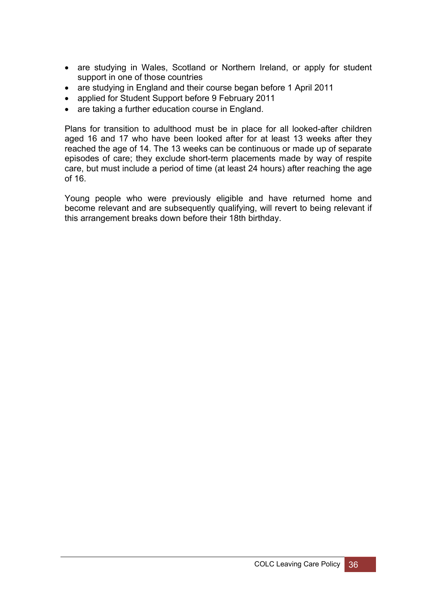- are studying in Wales, Scotland or Northern Ireland, or apply for student support in one of those countries
- are studying in England and their course began before 1 April 2011
- applied for Student Support before 9 February 2011
- are taking a further education course in England.

Plans for transition to adulthood must be in place for all looked-after children aged 16 and 17 who have been looked after for at least 13 weeks after they reached the age of 14. The 13 weeks can be continuous or made up of separate episodes of care; they exclude short-term placements made by way of respite care, but must include a period of time (at least 24 hours) after reaching the age of 16.

Young people who were previously eligible and have returned home and become relevant and are subsequently qualifying, will revert to being relevant if this arrangement breaks down before their 18th birthday.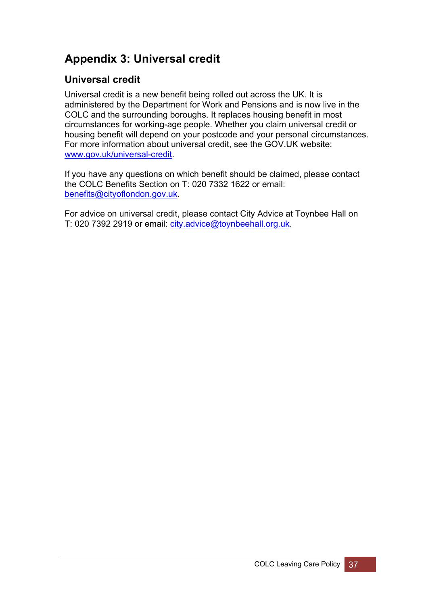## <span id="page-40-0"></span>**Appendix 3: Universal credit**

## **Universal credit**

Universal credit is a new benefit being rolled out across the UK. It is administered by the Department for Work and Pensions and is now live in the COLC and the surrounding boroughs. It replaces housing benefit in most circumstances for working-age people. Whether you claim universal credit or housing benefit will depend on your postcode and your personal circumstances. For more information about universal credit, see the GOV.UK website: [www.gov.uk/universal-credit](http://www.gov.uk/universal-credit).

If you have any questions on which benefit should be claimed, please contact the COLC Benefits Section on T: 020 7332 1622 or email: [benefits@cityoflondon.gov.uk.](mailto:benefits@cityoflondon.gov.uk)

For advice on universal credit, please contact City Advice at Toynbee Hall on T: 020 7392 2919 or email: [city.advice@toynbeehall.org.uk.](mailto:city.advice@toynbeehall.org.uk)